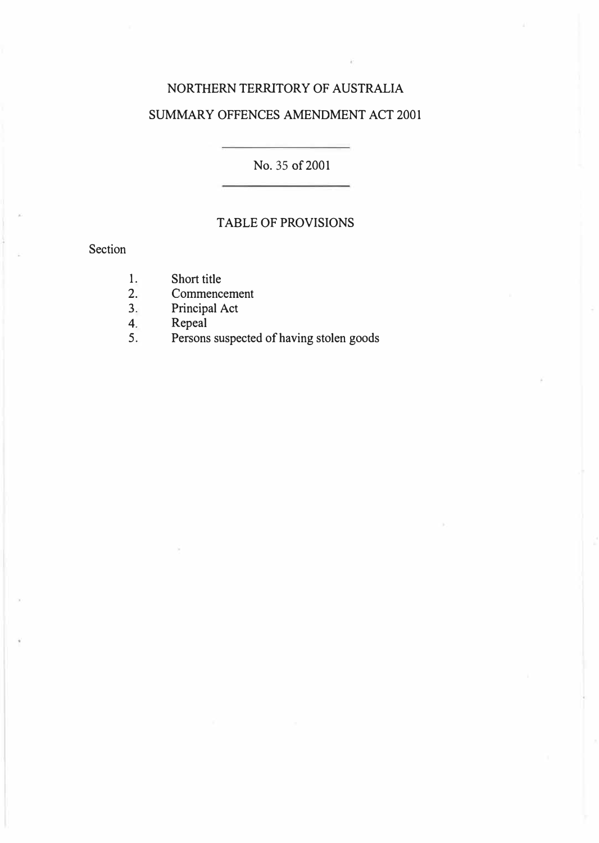## NORTHERN TERRITORY OF AUSTRALIA SUMMARY OFFENCES AMENDMENT ACT 2001

No. 35 of 2001

### TABLE OF PROVISIONS

### Section

- 1. Short title<br>2. Commence
- 2. Commencement<br>3. Principal Act
- 3. Principal Act<br>4. Repeal
- 4. Repeal<br>5. Persons
- 5. Persons suspected of having stolen goods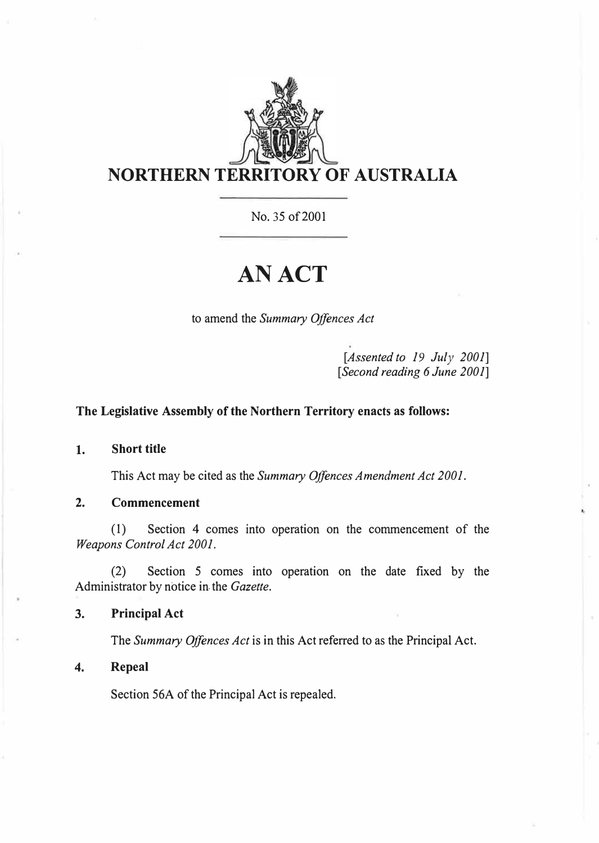

No. 35 of 2001

# **AN ACT**

to amend the *Summary Offences Act* 

*[Assented to 19 July 2001] [Second reading 6 June 2001]* 

#### **The Legislative Assembly of the Northern Territory enacts as follows:**

**1. Short title**

This Act may be cited as the *Summary Offences Amendment Act 2001.*

**2. Commencement**

(1) Section 4 comes into operation on the commencement of the *Weapons Control Act 2001.* 

(2) Section 5 comes into operation on the date fixed by the Administrator by notice in. the *Gazette.* 

**3. Principal Act**

The *Summary Offences Act* is in this Act referred to as the Principal Act.

**4. Repeal**

Section 56A of the Principal Act is repealed.